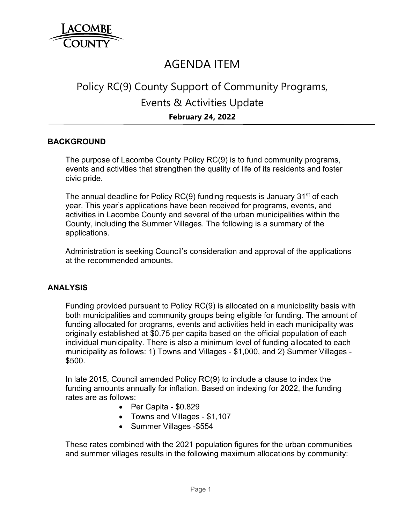

## AGENDA ITEM

# Policy RC(9) County Support of Community Programs, Events & Activities Update **February 24, 2022**

#### **BACKGROUND**

The purpose of Lacombe County Policy RC(9) is to fund community programs, events and activities that strengthen the quality of life of its residents and foster civic pride.

The annual deadline for Policy  $RC(9)$  funding requests is January 31 $<sup>st</sup>$  of each</sup> year. This year's applications have been received for programs, events, and activities in Lacombe County and several of the urban municipalities within the County, including the Summer Villages. The following is a summary of the applications.

Administration is seeking Council's consideration and approval of the applications at the recommended amounts.

#### **ANALYSIS**

Funding provided pursuant to Policy RC(9) is allocated on a municipality basis with both municipalities and community groups being eligible for funding. The amount of funding allocated for programs, events and activities held in each municipality was originally established at \$0.75 per capita based on the official population of each individual municipality. There is also a minimum level of funding allocated to each municipality as follows: 1) Towns and Villages - \$1,000, and 2) Summer Villages - \$500.

In late 2015, Council amended Policy RC(9) to include a clause to index the funding amounts annually for inflation. Based on indexing for 2022, the funding rates are as follows:

- Per Capita \$0.829
- Towns and Villages \$1,107
- Summer Villages \$554

These rates combined with the 2021 population figures for the urban communities and summer villages results in the following maximum allocations by community: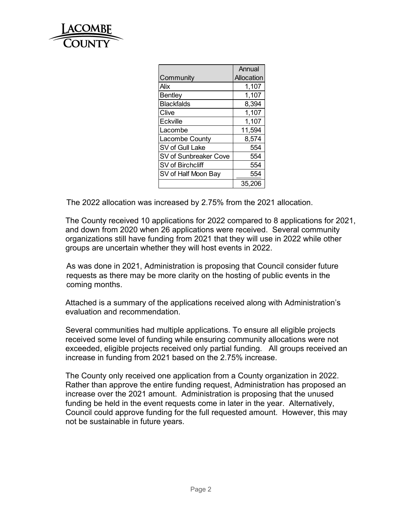

|                       | Annual     |
|-----------------------|------------|
| Community             | Allocation |
| Alix                  | 1,107      |
| <b>Bentley</b>        | 1,107      |
| <b>Blackfalds</b>     | 8,394      |
| Clive                 | 1,107      |
| Eckville              | 1,107      |
| Lacombe               | 11,594     |
| Lacombe County        | 8,574      |
| SV of Gull Lake       | 554        |
| SV of Sunbreaker Cove | 554        |
| SV of Birchcliff      | 554        |
| SV of Half Moon Bay   | 554        |
|                       | 35,206     |

The 2022 allocation was increased by 2.75% from the 2021 allocation.

The County received 10 applications for 2022 compared to 8 applications for 2021, and down from 2020 when 26 applications were received. Several community organizations still have funding from 2021 that they will use in 2022 while other groups are uncertain whether they will host events in 2022.

As was done in 2021, Administration is proposing that Council consider future requests as there may be more clarity on the hosting of public events in the coming months.

Attached is a summary of the applications received along with Administration's evaluation and recommendation.

Several communities had multiple applications. To ensure all eligible projects received some level of funding while ensuring community allocations were not exceeded, eligible projects received only partial funding. All groups received an increase in funding from 2021 based on the 2.75% increase.

The County only received one application from a County organization in 2022. Rather than approve the entire funding request, Administration has proposed an increase over the 2021 amount. Administration is proposing that the unused funding be held in the event requests come in later in the year. Alternatively, Council could approve funding for the full requested amount. However, this may not be sustainable in future years.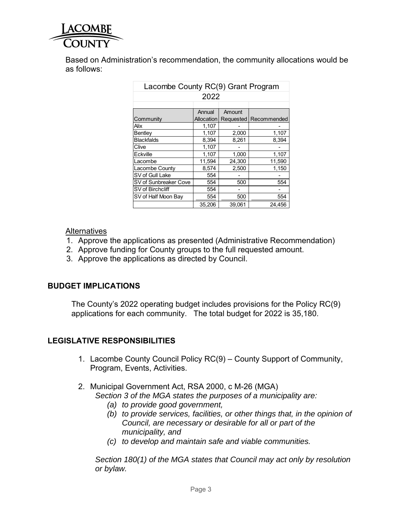

Based on Administration's recommendation, the community allocations would be as follows:

| Lacombe County RC(9) Grant Program |            |           |             |  |  |  |
|------------------------------------|------------|-----------|-------------|--|--|--|
| 2022                               |            |           |             |  |  |  |
|                                    |            |           |             |  |  |  |
|                                    | Annual     | Amount    |             |  |  |  |
| Community                          | Allocation | Requested | Recommended |  |  |  |
| Alix                               | 1,107      |           |             |  |  |  |
| Bentley                            | 1,107      | 2,000     | 1,107       |  |  |  |
| <b>Blackfalds</b>                  | 8,394      | 8,261     | 8,394       |  |  |  |
| Clive                              | 1,107      |           |             |  |  |  |
| Eckville                           | 1,107      | 1,000     | 1,107       |  |  |  |
| Lacombe                            | 11,594     | 24,300    | 11,590      |  |  |  |
| Lacombe County                     | 8,574      | 2,500     | 1,150       |  |  |  |
| SV of Gull Lake                    | 554        |           |             |  |  |  |
| SV of Sunbreaker Cove              | 554        | 500       | 554         |  |  |  |
| SV of Birchcliff                   | 554        |           |             |  |  |  |
| SV of Half Moon Bay                | 554        | 500       | 554         |  |  |  |
|                                    | 35,206     | 39,061    | 24,456      |  |  |  |

#### **Alternatives**

- 1. Approve the applications as presented (Administrative Recommendation)
- 2. Approve funding for County groups to the full requested amount.
- 3. Approve the applications as directed by Council.

## **BUDGET IMPLICATIONS**

The County's 2022 operating budget includes provisions for the Policy RC(9) applications for each community. The total budget for 2022 is 35,180.

## **LEGISLATIVE RESPONSIBILITIES**

- 1. Lacombe County Council Policy RC(9) County Support of Community, Program, Events, Activities.
- 2. Municipal Government Act, RSA 2000, c M-26 (MGA)
	- *Section 3 of the MGA states the purposes of a municipality are:* 
		- *(a) to provide good government,*
		- *(b) to provide services, facilities, or other things that, in the opinion of Council, are necessary or desirable for all or part of the municipality, and*
		- *(c) to develop and maintain safe and viable communities.*

*Section 180(1) of the MGA states that Council may act only by resolution or bylaw.*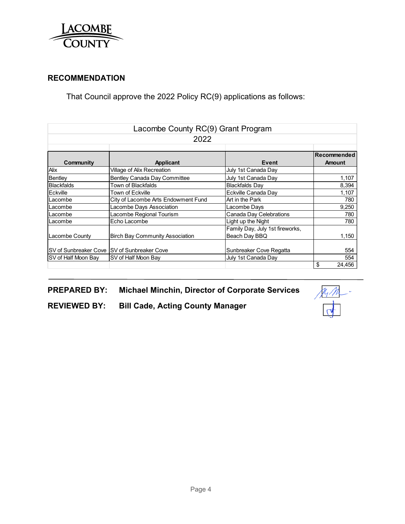

## **RECOMMENDATION**

That Council approve the 2022 Policy RC(9) applications as follows:

|                                              | Lacombe County RC(9) Grant Program         |                                                  |                              |  |  |
|----------------------------------------------|--------------------------------------------|--------------------------------------------------|------------------------------|--|--|
|                                              | 2022                                       |                                                  |                              |  |  |
| Community                                    | Applicant                                  | Event                                            | Recommended<br><b>Amount</b> |  |  |
| Alix                                         | Village of Alix Recreation                 | July 1st Canada Day                              |                              |  |  |
| Bentley                                      | Bentley Canada Day Committee               | July 1st Canada Day                              | 1,107                        |  |  |
| <b>Blackfalds</b>                            | Town of Blackfalds                         | <b>Blackfalds Day</b>                            | 8,394                        |  |  |
| Eckville                                     | Town of Eckville                           | Eckville Canada Day                              | 1,107                        |  |  |
| Lacombe                                      | City of Lacombe Arts Endowment Fund        | Art in the Park                                  | 780                          |  |  |
| Lacombe                                      | Lacombe Days Association                   | Lacombe Days                                     | 9,250                        |  |  |
| Lacombe                                      | Lacombe Regional Tourism                   | Canada Day Celebrations                          | 780                          |  |  |
| Lacombe                                      | Echo Lacombe                               | Light up the Night                               | 780                          |  |  |
| Lacombe County                               | <b>Birch Bay Community Association</b>     | Family Day, July 1st fireworks,<br>Beach Day BBQ | 1,150                        |  |  |
| SV of Sunbreaker Cove ISV of Sunbreaker Cove |                                            | Sunbreaker Cove Regatta                          | 554                          |  |  |
| SV of Half Moon Bay                          | SV of Half Moon Bay<br>July 1st Canada Day |                                                  | 554                          |  |  |
|                                              |                                            |                                                  | \$<br>24,456                 |  |  |

**PREPARED BY: Michael Minchin, Director of Corporate Services** 

**REVIEWED BY: Bill Cade, Acting County Manager**